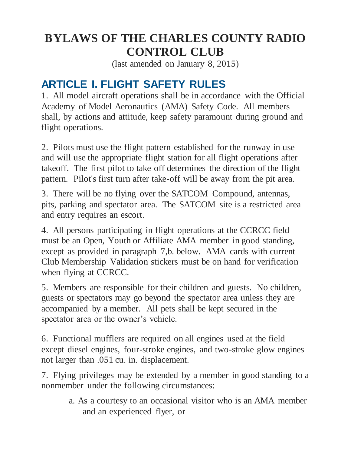## **BYLAWS OF THE CHARLES COUNTY RADIO CONTROL CLUB**

(last amended on January 8, 2015)

## **ARTICLE I. FLIGHT SAFETY RULES**

1. All model aircraft operations shall be in accordance with the Official Academy of Model Aeronautics (AMA) Safety Code. All members shall, by actions and attitude, keep safety paramount during ground and flight operations.

2. Pilots must use the flight pattern established for the runway in use and will use the appropriate flight station for all flight operations after takeoff. The first pilot to take off determines the direction of the flight pattern. Pilot's first turn after take-off will be away from the pit area.

3. There will be no flying over the SATCOM Compound, antennas, pits, parking and spectator area. The SATCOM site is a restricted area and entry requires an escort.

4. All persons participating in flight operations at the CCRCC field must be an Open, Youth or Affiliate AMA member in good standing, except as provided in paragraph 7,b. below. AMA cards with current Club Membership Validation stickers must be on hand for verification when flying at CCRCC.

5. Members are responsible for their children and guests. No children, guests or spectators may go beyond the spectator area unless they are accompanied by a member. All pets shall be kept secured in the spectator area or the owner's vehicle.

6. Functional mufflers are required on all engines used at the field except diesel engines, four-stroke engines, and two-stroke glow engines not larger than .051 cu. in. displacement.

7. Flying privileges may be extended by a member in good standing to a nonmember under the following circumstances:

> a. As a courtesy to an occasional visitor who is an AMA member and an experienced flyer, or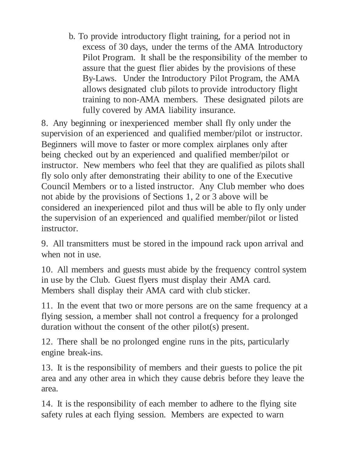b. To provide introductory flight training, for a period not in excess of 30 days, under the terms of the AMA Introductory Pilot Program. It shall be the responsibility of the member to assure that the guest flier abides by the provisions of these By-Laws. Under the Introductory Pilot Program, the AMA allows designated club pilots to provide introductory flight training to non-AMA members. These designated pilots are fully covered by AMA liability insurance.

8. Any beginning or inexperienced member shall fly only under the supervision of an experienced and qualified member/pilot or instructor. Beginners will move to faster or more complex airplanes only after being checked out by an experienced and qualified member/pilot or instructor. New members who feel that they are qualified as pilots shall fly solo only after demonstrating their ability to one of the Executive Council Members or to a listed instructor. Any Club member who does not abide by the provisions of Sections 1, 2 or 3 above will be considered an inexperienced pilot and thus will be able to fly only under the supervision of an experienced and qualified member/pilot or listed instructor.

9. All transmitters must be stored in the impound rack upon arrival and when not in use.

10. All members and guests must abide by the frequency control system in use by the Club. Guest flyers must display their AMA card. Members shall display their AMA card with club sticker.

11. In the event that two or more persons are on the same frequency at a flying session, a member shall not control a frequency for a prolonged duration without the consent of the other pilot(s) present.

12. There shall be no prolonged engine runs in the pits, particularly engine break-ins.

13. It is the responsibility of members and their guests to police the pit area and any other area in which they cause debris before they leave the area.

14. It is the responsibility of each member to adhere to the flying site safety rules at each flying session. Members are expected to warn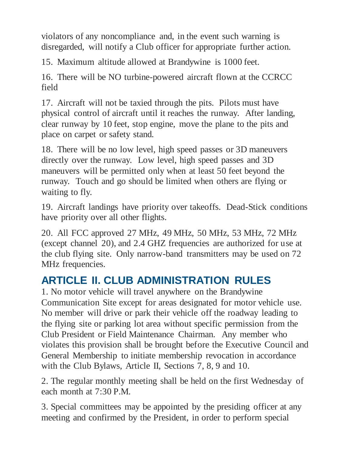violators of any noncompliance and, in the event such warning is disregarded, will notify a Club officer for appropriate further action.

15. Maximum altitude allowed at Brandywine is 1000 feet.

16. There will be NO turbine-powered aircraft flown at the CCRCC field

17. Aircraft will not be taxied through the pits. Pilots must have physical control of aircraft until it reaches the runway. After landing, clear runway by 10 feet, stop engine, move the plane to the pits and place on carpet or safety stand.

18. There will be no low level, high speed passes or 3D maneuvers directly over the runway. Low level, high speed passes and 3D maneuvers will be permitted only when at least 50 feet beyond the runway. Touch and go should be limited when others are flying or waiting to fly.

19. Aircraft landings have priority over takeoffs. Dead-Stick conditions have priority over all other flights.

20. All FCC approved 27 MHz, 49 MHz, 50 MHz, 53 MHz, 72 MHz (except channel 20), and 2.4 GHZ frequencies are authorized for use at the club flying site. Only narrow-band transmitters may be used on 72 MHz frequencies.

## **ARTICLE II. CLUB ADMINISTRATION RULES**

1. No motor vehicle will travel anywhere on the Brandywine Communication Site except for areas designated for motor vehicle use. No member will drive or park their vehicle off the roadway leading to the flying site or parking lot area without specific permission from the Club President or Field Maintenance Chairman. Any member who violates this provision shall be brought before the Executive Council and General Membership to initiate membership revocation in accordance with the Club Bylaws, Article II, Sections 7, 8, 9 and 10.

2. The regular monthly meeting shall be held on the first Wednesday of each month at 7:30 P.M.

3. Special committees may be appointed by the presiding officer at any meeting and confirmed by the President, in order to perform special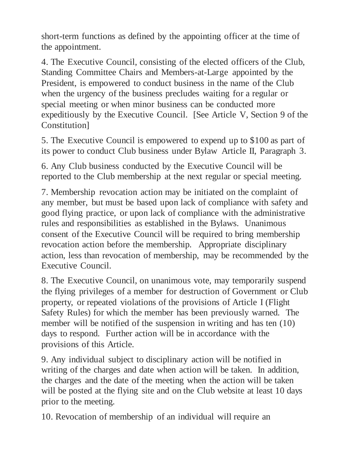short-term functions as defined by the appointing officer at the time of the appointment.

4. The Executive Council, consisting of the elected officers of the Club, Standing Committee Chairs and Members-at-Large appointed by the President, is empowered to conduct business in the name of the Club when the urgency of the business precludes waiting for a regular or special meeting or when minor business can be conducted more expeditiously by the Executive Council. [See Article V, Section 9 of the Constitution]

5. The Executive Council is empowered to expend up to \$100 as part of its power to conduct Club business under Bylaw Article II, Paragraph 3.

6. Any Club business conducted by the Executive Council will be reported to the Club membership at the next regular or special meeting.

7. Membership revocation action may be initiated on the complaint of any member, but must be based upon lack of compliance with safety and good flying practice, or upon lack of compliance with the administrative rules and responsibilities as established in the Bylaws. Unanimous consent of the Executive Council will be required to bring membership revocation action before the membership. Appropriate disciplinary action, less than revocation of membership, may be recommended by the Executive Council.

8. The Executive Council, on unanimous vote, may temporarily suspend the flying privileges of a member for destruction of Government or Club property, or repeated violations of the provisions of Article I (Flight Safety Rules) for which the member has been previously warned. The member will be notified of the suspension in writing and has ten (10) days to respond. Further action will be in accordance with the provisions of this Article.

9. Any individual subject to disciplinary action will be notified in writing of the charges and date when action will be taken. In addition, the charges and the date of the meeting when the action will be taken will be posted at the flying site and on the Club website at least 10 days prior to the meeting.

10. Revocation of membership of an individual will require an